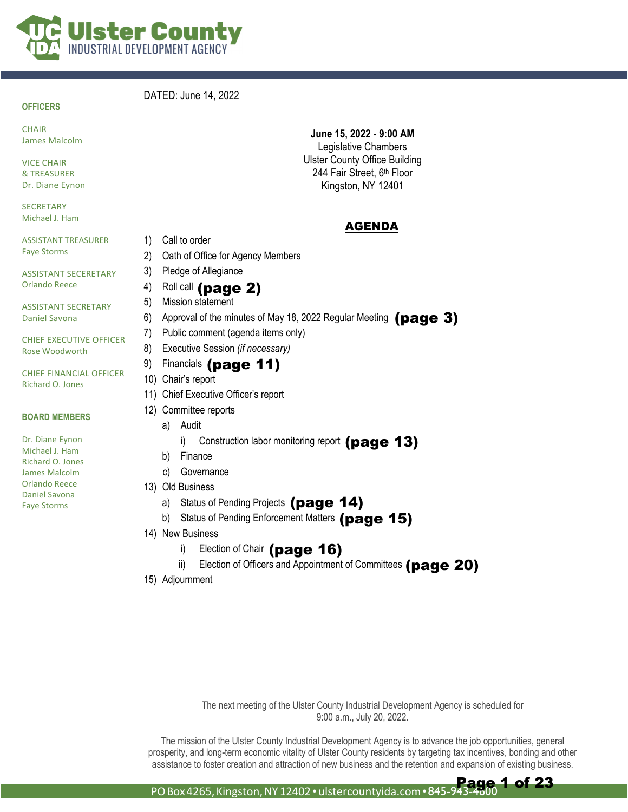

#### **OFFICERS**

#### DATED: June 14, 2022

**CHAIR** James Malcolm

VICE CHAIR & TREASURER Dr. Diane Eynon

**SECRETARY** Michael J. Ham

ASSISTANT TREASURER Faye Storms

ASSISTANT SECERETARY Orlando Reece

ASSISTANT SECRETARY Daniel Savona

CHIEF EXECUTIVE OFFICER Rose Woodworth

CHIEF FINANCIAL OFFICER Richard O. Jones

#### **BOARD MEMBERS**

Dr. Diane Eynon Michael J. Ham Richard O. Jones James Malcolm Orlando Reece Daniel Savona Faye Storms

**June 15, 2022 - 9:00 AM**  Legislative Chambers Ulster County Office Building 244 Fair Street, 6<sup>th</sup> Floor Kingston, NY 12401

#### AGENDA

2) Oath of Office for Agency Members

1) Call to order

3) Pledge of Allegiance

#### $4)$  Roll call (page 2)

- 5) Mission statement
- 6) Approval of the minutes of May 18, 2022 Regular Meeting  $(page 3)$
- 7) Public comment (agenda items only)
- 8) Executive Session *(if necessary)*

#### 9) Financials (page 11)

- 10) Chair's report
- 11) Chief Executive Officer's report
- 12) Committee reports
	- a) Audit
		- i) Construction labor monitoring report (page 13)
	- b) Finance
	- c) Governance
- 13) Old Business
	- a) Status of Pending Projects (page 14)
	- b) Status of Pending Enforcement Matters (page 15)
- 14) New Business
	- i) Election of Chair (page 16)
	- ii) Election of Officers and Appointment of Committees (page 20)
- 15) Adjournment

The next meeting of the Ulster County Industrial Development Agency is scheduled for 9:00 a.m., July 20, 2022.

The mission of the Ulster County Industrial Development Agency is to advance the job opportunities, general prosperity, and long-term economic vitality of Ulster County residents by targeting tax incentives, bonding and other assistance to foster creation and attraction of new business and the retention and expansion of existing business.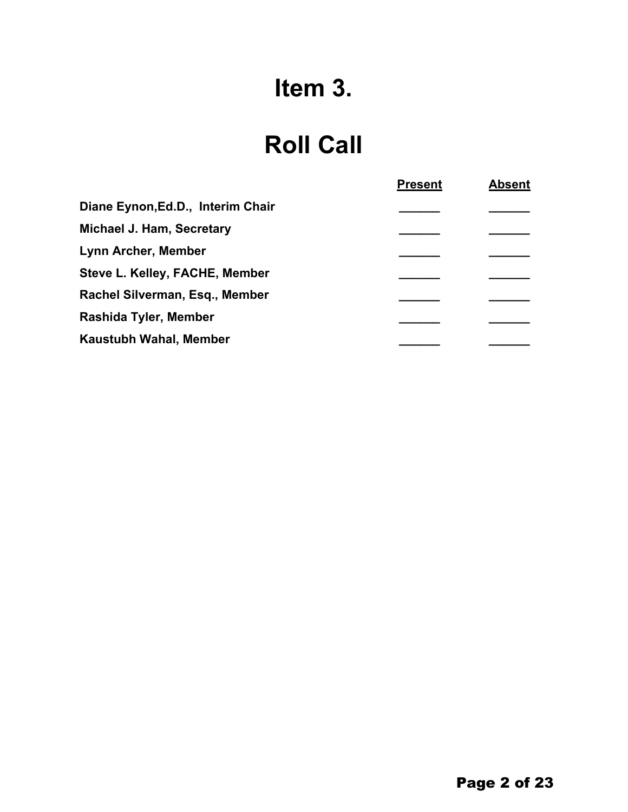# **Item 3.**

## **Roll Call**

|                                   | <b>Present</b> | <b>Absent</b> |
|-----------------------------------|----------------|---------------|
| Diane Eynon, Ed.D., Interim Chair |                |               |
| <b>Michael J. Ham, Secretary</b>  |                |               |
| <b>Lynn Archer, Member</b>        |                |               |
| Steve L. Kelley, FACHE, Member    |                |               |
| Rachel Silverman, Esq., Member    |                |               |
| Rashida Tyler, Member             |                |               |
| Kaustubh Wahal, Member            |                |               |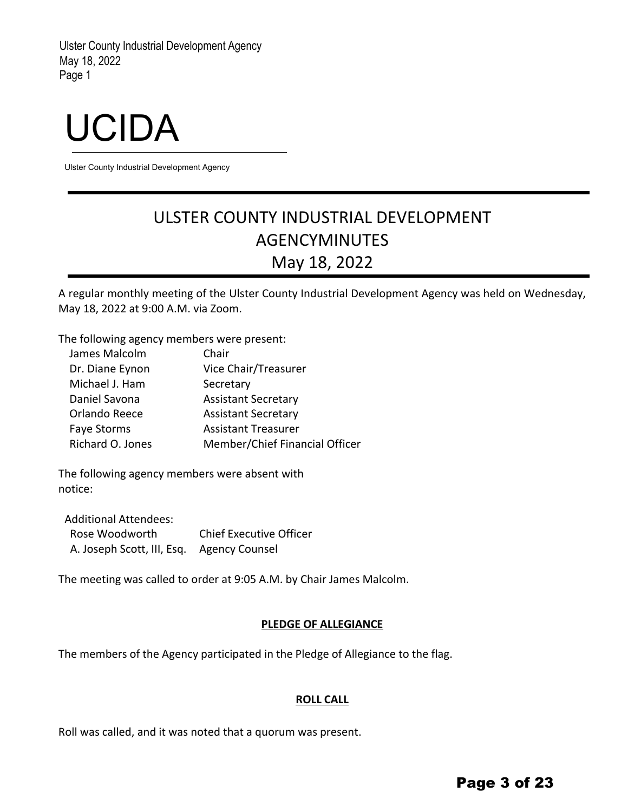# UCIDA

Ulster County Industrial Development Agency

## ULSTER COUNTY INDUSTRIAL DEVELOPMENT AGENCYMINUTES May 18, 2022

A regular monthly meeting of the Ulster County Industrial Development Agency was held on Wednesday, May 18, 2022 at 9:00 A.M. via Zoom.

The following agency members were present:

| James Malcolm      | Chair                          |
|--------------------|--------------------------------|
| Dr. Diane Eynon    | Vice Chair/Treasurer           |
| Michael J. Ham     | Secretary                      |
| Daniel Savona      | <b>Assistant Secretary</b>     |
| Orlando Reece      | <b>Assistant Secretary</b>     |
| <b>Faye Storms</b> | <b>Assistant Treasurer</b>     |
| Richard O. Jones   | Member/Chief Financial Officer |

The following agency members were absent with notice:

Additional Attendees: Rose Woodworth Chief Executive Officer A. Joseph Scott, III, Esq. Agency Counsel

The meeting was called to order at 9:05 A.M. by Chair James Malcolm.

#### **PLEDGE OF ALLEGIANCE**

The members of the Agency participated in the Pledge of Allegiance to the flag.

#### **ROLL CALL**

Roll was called, and it was noted that a quorum was present.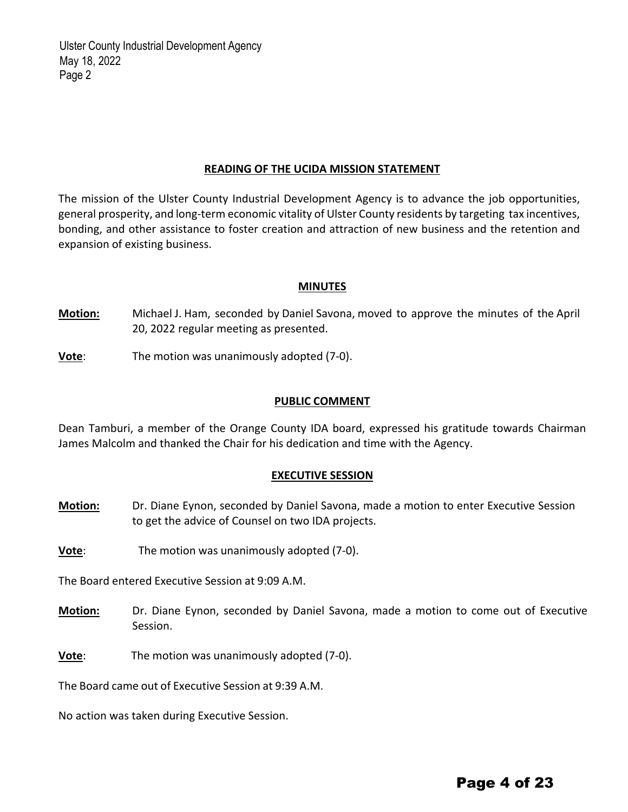#### **READING OF THE UCIDA MISSION STATEMENT**

The mission of the Ulster County Industrial Development Agency is to advance the job opportunities, general prosperity, and long-term economic vitality of Ulster County residents by targeting tax incentives, bonding, and other assistance to foster creation and attraction of new business and the retention and expansion of existing business.

#### **MINUTES**

**Motion:** Michael J. Ham, seconded by Daniel Savona, moved to approve the minutes of the April 20, 2022 regular meeting as presented.

**Vote**: The motion was unanimously adopted (7‐0).

#### **PUBLIC COMMENT**

Dean Tamburi, a member of the Orange County IDA board, expressed his gratitude towards Chairman James Malcolm and thanked the Chair for his dedication and time with the Agency.

#### **EXECUTIVE SESSION**

- **Motion:** Dr. Diane Eynon, seconded by Daniel Savona, made a motion to enter Executive Session to get the advice of Counsel on two IDA projects.
- **Vote**: The motion was unanimously adopted (7-0).

The Board entered Executive Session at 9:09 A.M.

- **Motion:** Dr. Diane Eynon, seconded by Daniel Savona, made a motion to come out of Executive Session.
- **Vote**: The motion was unanimously adopted (7-0).

The Board came out of Executive Session at 9:39 A.M.

No action was taken during Executive Session.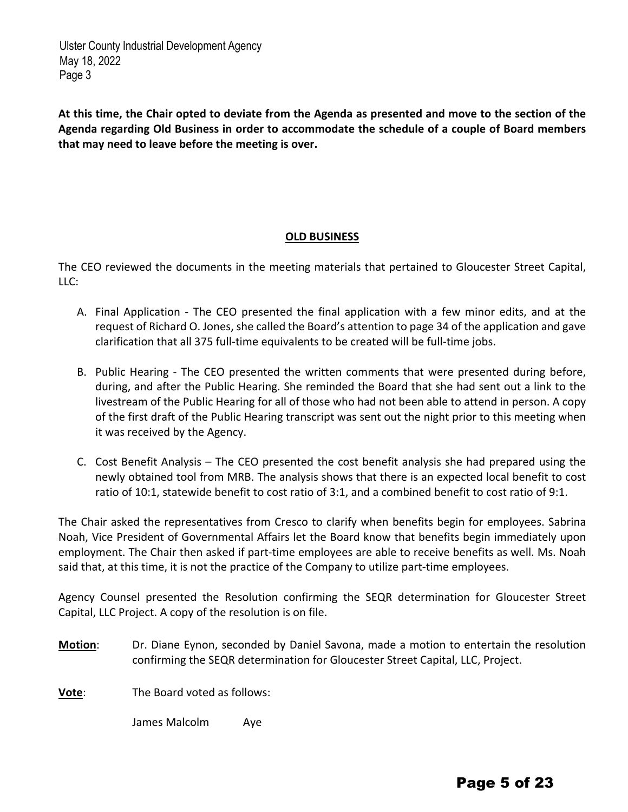At this time, the Chair opted to deviate from the Agenda as presented and move to the section of the **Agenda regarding Old Business in order to accommodate the schedule of a couple of Board members that may need to leave before the meeting is over.**

#### **OLD BUSINESS**

The CEO reviewed the documents in the meeting materials that pertained to Gloucester Street Capital, LLC:

- A. Final Application The CEO presented the final application with a few minor edits, and at the request of Richard O. Jones, she called the Board's attention to page 34 of the application and gave clarification that all 375 full‐time equivalents to be created will be full‐time jobs.
- B. Public Hearing The CEO presented the written comments that were presented during before, during, and after the Public Hearing. She reminded the Board that she had sent out a link to the livestream of the Public Hearing for all of those who had not been able to attend in person. A copy of the first draft of the Public Hearing transcript was sent out the night prior to this meeting when it was received by the Agency.
- C. Cost Benefit Analysis The CEO presented the cost benefit analysis she had prepared using the newly obtained tool from MRB. The analysis shows that there is an expected local benefit to cost ratio of 10:1, statewide benefit to cost ratio of 3:1, and a combined benefit to cost ratio of 9:1.

The Chair asked the representatives from Cresco to clarify when benefits begin for employees. Sabrina Noah, Vice President of Governmental Affairs let the Board know that benefits begin immediately upon employment. The Chair then asked if part-time employees are able to receive benefits as well. Ms. Noah said that, at this time, it is not the practice of the Company to utilize part-time employees.

Agency Counsel presented the Resolution confirming the SEQR determination for Gloucester Street Capital, LLC Project. A copy of the resolution is on file.

**Motion**: Dr. Diane Eynon, seconded by Daniel Savona, made a motion to entertain the resolution confirming the SEQR determination for Gloucester Street Capital, LLC, Project.

**Vote**: The Board voted as follows:

James Malcolm Aye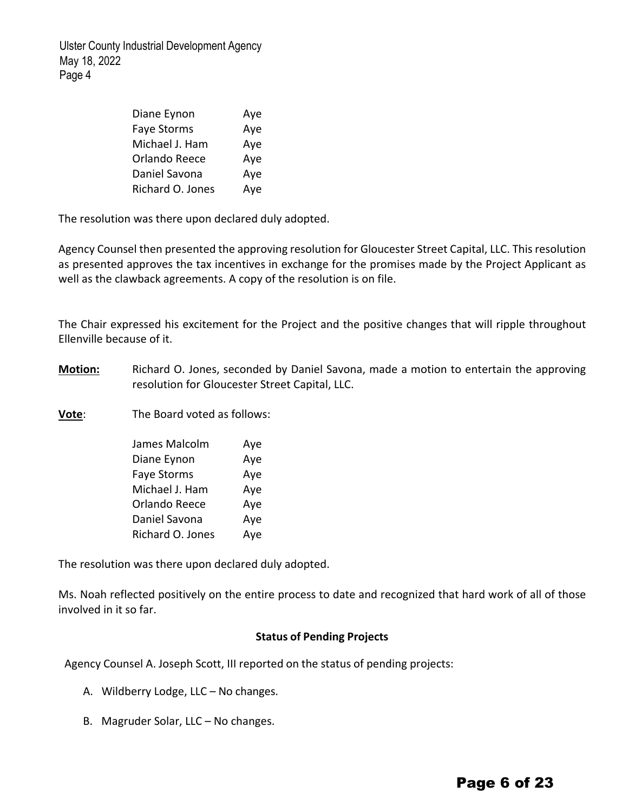| Diane Eynon        | Aye |
|--------------------|-----|
| <b>Faye Storms</b> | Aye |
| Michael J. Ham     | Aye |
| Orlando Reece      | Aye |
| Daniel Savona      | Aye |
| Richard O. Jones   | Aye |

The resolution was there upon declared duly adopted.

Agency Counsel then presented the approving resolution for Gloucester Street Capital, LLC. This resolution as presented approves the tax incentives in exchange for the promises made by the Project Applicant as well as the clawback agreements. A copy of the resolution is on file.

The Chair expressed his excitement for the Project and the positive changes that will ripple throughout Ellenville because of it.

**Motion:** Richard O. Jones, seconded by Daniel Savona, made a motion to entertain the approving resolution for Gloucester Street Capital, LLC.

**Vote**: The Board voted as follows:

| James Malcolm      | Aye |
|--------------------|-----|
| Diane Eynon        | Aye |
| <b>Faye Storms</b> | Aye |
| Michael J. Ham     | Aye |
| Orlando Reece      | Aye |
| Daniel Savona      | Aye |
| Richard O. Jones   | Aye |

The resolution was there upon declared duly adopted.

Ms. Noah reflected positively on the entire process to date and recognized that hard work of all of those involved in it so far.

#### **Status of Pending Projects**

Agency Counsel A. Joseph Scott, III reported on the status of pending projects:

- A. Wildberry Lodge, LLC No changes.
- B. Magruder Solar, LLC No changes.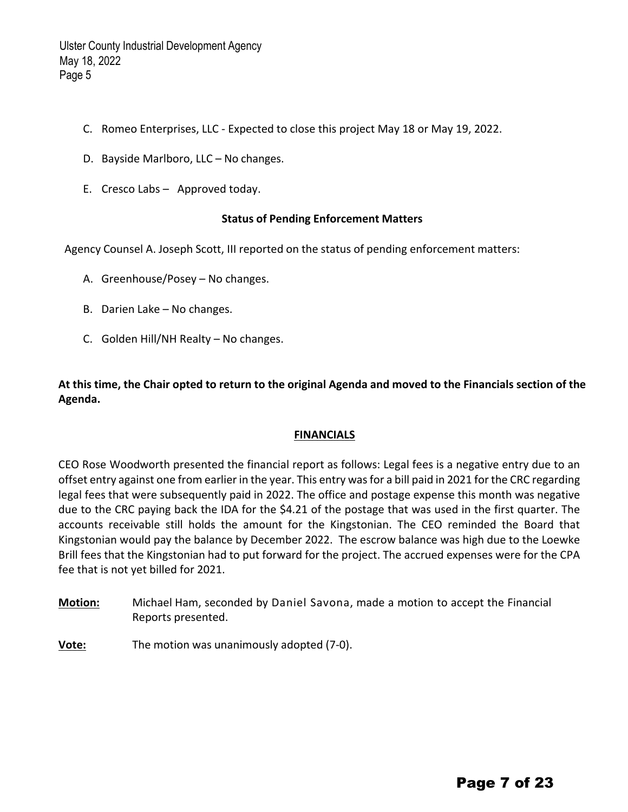- C. Romeo Enterprises, LLC ‐ Expected to close this project May 18 or May 19, 2022.
- D. Bayside Marlboro, LLC No changes.
- E. Cresco Labs Approved today.

#### **Status of Pending Enforcement Matters**

Agency Counsel A. Joseph Scott, III reported on the status of pending enforcement matters:

- A. Greenhouse/Posey No changes.
- B. Darien Lake No changes.
- C. Golden Hill/NH Realty No changes.

At this time, the Chair opted to return to the original Agenda and moved to the Financials section of the **Agenda.** 

#### **FINANCIALS**

CEO Rose Woodworth presented the financial report as follows: Legal fees is a negative entry due to an offset entry against one from earlier in the year. This entry wasfor a bill paid in 2021 for the CRC regarding legal fees that were subsequently paid in 2022. The office and postage expense this month was negative due to the CRC paying back the IDA for the \$4.21 of the postage that was used in the first quarter. The accounts receivable still holds the amount for the Kingstonian. The CEO reminded the Board that Kingstonian would pay the balance by December 2022. The escrow balance was high due to the Loewke Brill fees that the Kingstonian had to put forward for the project. The accrued expenses were for the CPA fee that is not yet billed for 2021.

- **Motion:** Michael Ham, seconded by Daniel Savona, made a motion to accept the Financial Reports presented.
- **Vote:** The motion was unanimously adopted (7‐0).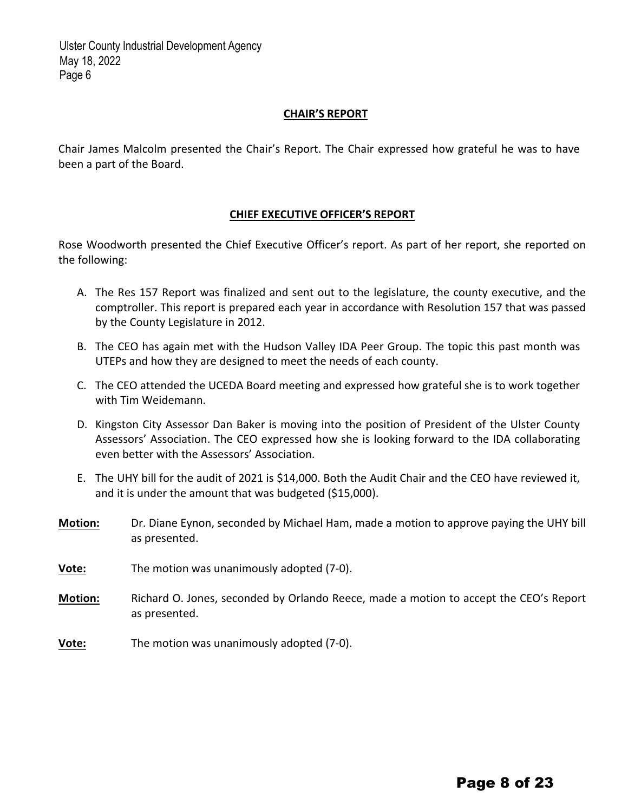#### **CHAIR'S REPORT**

Chair James Malcolm presented the Chair's Report. The Chair expressed how grateful he was to have been a part of the Board.

#### **CHIEF EXECUTIVE OFFICER'S REPORT**

Rose Woodworth presented the Chief Executive Officer's report. As part of her report, she reported on the following:

- A. The Res 157 Report was finalized and sent out to the legislature, the county executive, and the comptroller. This report is prepared each year in accordance with Resolution 157 that was passed by the County Legislature in 2012.
- B. The CEO has again met with the Hudson Valley IDA Peer Group. The topic this past month was UTEPs and how they are designed to meet the needs of each county.
- C. The CEO attended the UCEDA Board meeting and expressed how grateful she is to work together with Tim Weidemann.
- D. Kingston City Assessor Dan Baker is moving into the position of President of the Ulster County Assessors' Association. The CEO expressed how she is looking forward to the IDA collaborating even better with the Assessors' Association.
- E. The UHY bill for the audit of 2021 is \$14,000. Both the Audit Chair and the CEO have reviewed it, and it is under the amount that was budgeted (\$15,000).
- **Motion:** Dr. Diane Eynon, seconded by Michael Ham, made a motion to approve paying the UHY bill as presented.
- **Vote:** The motion was unanimously adopted (7‐0).
- **Motion:** Richard O. Jones, seconded by Orlando Reece, made a motion to accept the CEO's Report as presented.
- **Vote:** The motion was unanimously adopted (7-0).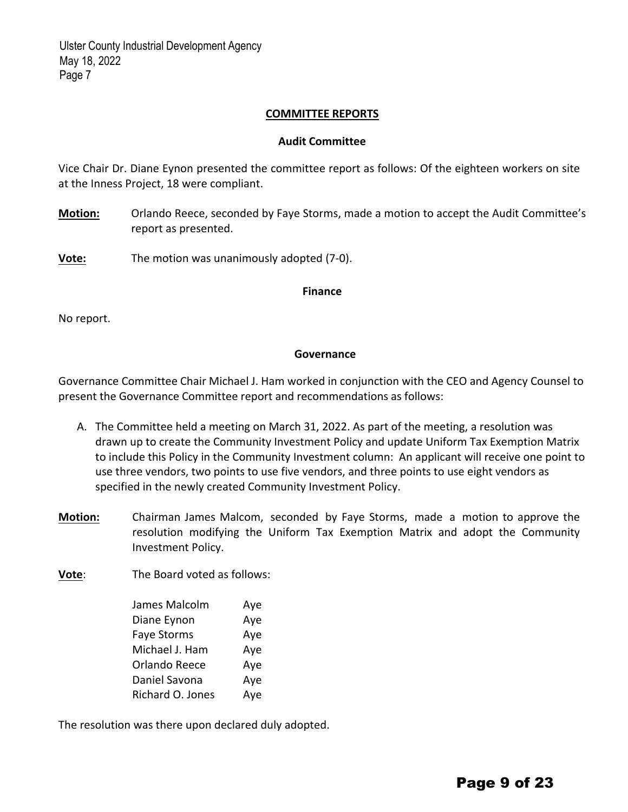#### **COMMITTEE REPORTS**

#### **Audit Committee**

Vice Chair Dr. Diane Eynon presented the committee report as follows: Of the eighteen workers on site at the Inness Project, 18 were compliant.

**Motion:** Orlando Reece, seconded by Faye Storms, made a motion to accept the Audit Committee's report as presented.

**Vote:** The motion was unanimously adopted (7‐0).

#### **Finance**

No report.

#### **Governance**

Governance Committee Chair Michael J. Ham worked in conjunction with the CEO and Agency Counsel to present the Governance Committee report and recommendations as follows:

- A. The Committee held a meeting on March 31, 2022. As part of the meeting, a resolution was drawn up to create the Community Investment Policy and update Uniform Tax Exemption Matrix to include this Policy in the Community Investment column: An applicant will receive one point to use three vendors, two points to use five vendors, and three points to use eight vendors as specified in the newly created Community Investment Policy.
- **Motion:**  Chairman James Malcom, seconded by Faye Storms, made a motion to approve the resolution modifying the Uniform Tax Exemption Matrix and adopt the Community Investment Policy.

**Vote**: The Board voted as follows:

| James Malcolm    | Aye |
|------------------|-----|
| Diane Eynon      | Aye |
| Faye Storms      | Aye |
| Michael J. Ham   | Aye |
| Orlando Reece    | Aye |
| Daniel Savona    | Aye |
| Richard O. Jones | Aye |

The resolution was there upon declared duly adopted.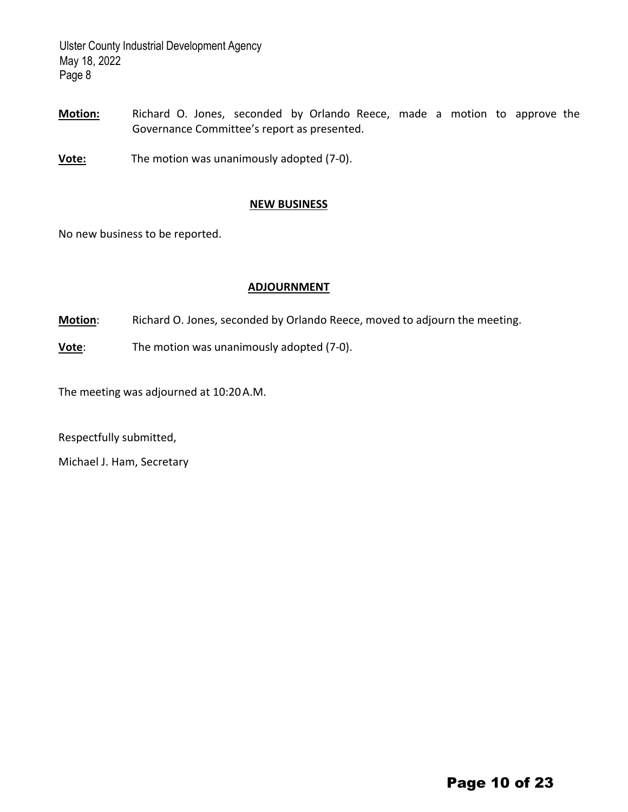- **Motion:** Richard O. Jones, seconded by Orlando Reece, made a motion to approve the Governance Committee's report as presented.
- **Vote:** The motion was unanimously adopted (7‐0).

#### **NEW BUSINESS**

No new business to be reported.

#### **ADJOURNMENT**

**Motion**: Richard O. Jones, seconded by Orlando Reece, moved to adjourn the meeting.

**Vote**: The motion was unanimously adopted (7-0).

The meeting was adjourned at 10:20A.M.

Respectfully submitted,

Michael J. Ham, Secretary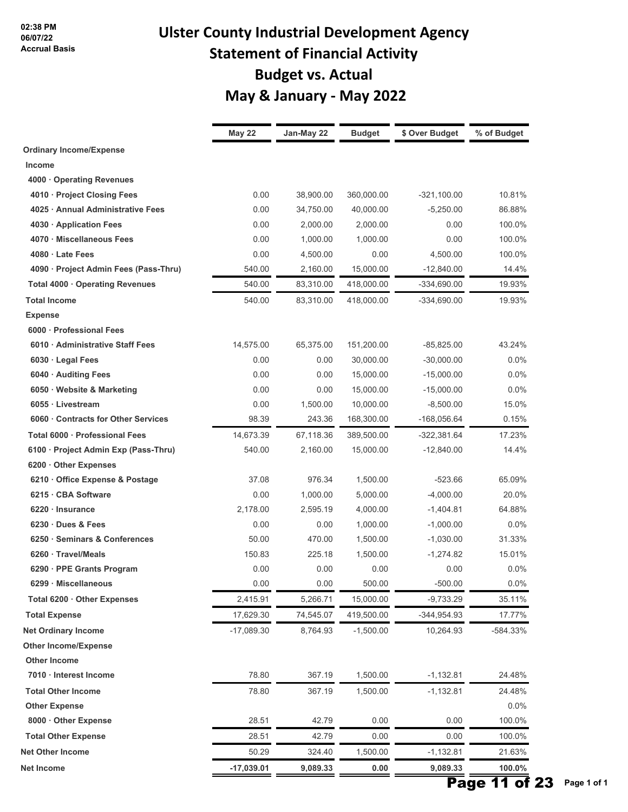## **Ulster County Industrial Development Agency Statement of Financial Activity Budget vs. Actual May & January ‐ May 2022**

|                                       | May 22       | Jan-May 22 | <b>Budget</b> | \$ Over Budget | % of Budget |
|---------------------------------------|--------------|------------|---------------|----------------|-------------|
| <b>Ordinary Income/Expense</b>        |              |            |               |                |             |
| <b>Income</b>                         |              |            |               |                |             |
| 4000 Operating Revenues               |              |            |               |                |             |
| 4010 · Project Closing Fees           | 0.00         | 38,900.00  | 360,000.00    | $-321.100.00$  | 10.81%      |
| 4025 Annual Administrative Fees       | 0.00         | 34,750.00  | 40,000.00     | $-5,250.00$    | 86.88%      |
| 4030 · Application Fees               | 0.00         | 2,000.00   | 2,000.00      | 0.00           | 100.0%      |
| 4070 · Miscellaneous Fees             | 0.00         | 1,000.00   | 1,000.00      | 0.00           | 100.0%      |
| 4080 · Late Fees                      | 0.00         | 4,500.00   | 0.00          | 4,500.00       | 100.0%      |
| 4090 · Project Admin Fees (Pass-Thru) | 540.00       | 2,160.00   | 15,000.00     | $-12,840.00$   | 14.4%       |
| Total 4000 · Operating Revenues       | 540.00       | 83,310.00  | 418,000.00    | $-334,690.00$  | 19.93%      |
| <b>Total Income</b>                   | 540.00       | 83,310.00  | 418,000.00    | $-334,690.00$  | 19.93%      |
| <b>Expense</b>                        |              |            |               |                |             |
| 6000 · Professional Fees              |              |            |               |                |             |
| 6010 Administrative Staff Fees        | 14,575.00    | 65,375.00  | 151,200.00    | $-85,825.00$   | 43.24%      |
| 6030 · Legal Fees                     | 0.00         | 0.00       | 30,000.00     | $-30,000.00$   | 0.0%        |
| 6040 · Auditing Fees                  | 0.00         | 0.00       | 15,000.00     | $-15,000.00$   | 0.0%        |
| 6050 · Website & Marketing            | 0.00         | 0.00       | 15,000.00     | $-15,000.00$   | 0.0%        |
| 6055 · Livestream                     | 0.00         | 1,500.00   | 10,000.00     | $-8,500.00$    | 15.0%       |
| 6060 Contracts for Other Services     | 98.39        | 243.36     | 168,300.00    | $-168,056.64$  | 0.15%       |
| Total 6000 · Professional Fees        | 14,673.39    | 67,118.36  | 389,500.00    | $-322,381.64$  | 17.23%      |
| 6100 · Project Admin Exp (Pass-Thru)  | 540.00       | 2,160.00   | 15,000.00     | $-12,840.00$   | 14.4%       |
| 6200 Other Expenses                   |              |            |               |                |             |
| 6210 Office Expense & Postage         | 37.08        | 976.34     | 1,500.00      | $-523.66$      | 65.09%      |
| 6215 · CBA Software                   | 0.00         | 1,000.00   | 5,000.00      | $-4,000.00$    | 20.0%       |
| 6220 · Insurance                      | 2,178.00     | 2,595.19   | 4,000.00      | $-1,404.81$    | 64.88%      |
| 6230 Dues & Fees                      | 0.00         | 0.00       | 1,000.00      | $-1,000.00$    | $0.0\%$     |
| 6250 · Seminars & Conferences         | 50.00        | 470.00     | 1,500.00      | $-1,030.00$    | 31.33%      |
| 6260 · Travel/Meals                   | 150.83       | 225.18     | 1,500.00      | $-1,274.82$    | 15.01%      |
| 6290 · PPE Grants Program             | 0.00         | 0.00       | 0.00          | 0.00           | 0.0%        |
| 6299 · Miscellaneous                  | 0.00         | 0.00       | 500.00        | $-500.00$      | 0.0%        |
| Total 6200 · Other Expenses           | 2,415.91     | 5,266.71   | 15,000.00     | $-9,733.29$    | 35.11%      |
| <b>Total Expense</b>                  | 17,629.30    | 74,545.07  | 419,500.00    | -344,954.93    | 17.77%      |
| <b>Net Ordinary Income</b>            | -17,089.30   | 8,764.93   | $-1,500.00$   | 10,264.93      | -584.33%    |
| <b>Other Income/Expense</b>           |              |            |               |                |             |
| <b>Other Income</b>                   |              |            |               |                |             |
| 7010 · Interest Income                | 78.80        | 367.19     | 1,500.00      | $-1,132.81$    | 24.48%      |
| <b>Total Other Income</b>             | 78.80        | 367.19     | 1,500.00      | $-1,132.81$    | 24.48%      |
| <b>Other Expense</b>                  |              |            |               |                | 0.0%        |
| 8000 · Other Expense                  | 28.51        | 42.79      | 0.00          | 0.00           | 100.0%      |
| <b>Total Other Expense</b>            | 28.51        | 42.79      | 0.00          | 0.00           | 100.0%      |
| <b>Net Other Income</b>               | 50.29        | 324.40     | 1,500.00      | $-1,132.81$    | 21.63%      |
| Net Income                            | $-17,039.01$ | 9,089.33   | 0.00          | 9,089.33       | 100.0%      |
|                                       |              |            |               |                |             |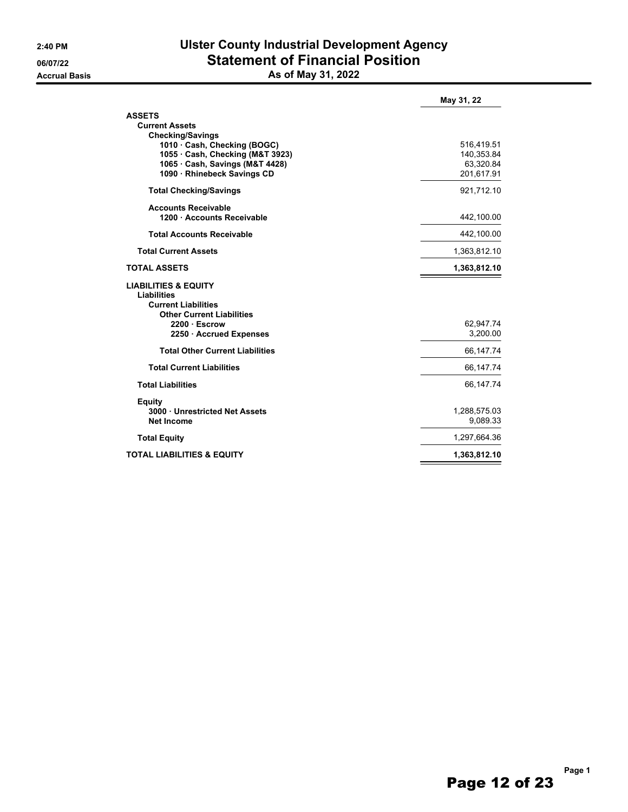#### **2:40 PM Ulster County Industrial Development Agency 06/07/22 Statement of Financial Position Accrual Basis As of May 31, 2022**

|                                                                                                                         | May 31, 22               |
|-------------------------------------------------------------------------------------------------------------------------|--------------------------|
| <b>ASSETS</b><br><b>Current Assets</b>                                                                                  |                          |
| <b>Checking/Savings</b><br>1010 Cash, Checking (BOGC)                                                                   | 516,419.51               |
| 1055 · Cash, Checking (M&T 3923)                                                                                        | 140,353.84               |
| 1065 Cash, Savings (M&T 4428)<br>1090 · Rhinebeck Savings CD                                                            | 63,320.84<br>201,617.91  |
|                                                                                                                         |                          |
| <b>Total Checking/Savings</b>                                                                                           | 921,712.10               |
| <b>Accounts Receivable</b><br>1200 · Accounts Receivable                                                                | 442,100.00               |
| <b>Total Accounts Receivable</b>                                                                                        | 442,100.00               |
| <b>Total Current Assets</b>                                                                                             | 1,363,812.10             |
| <b>TOTAL ASSETS</b>                                                                                                     | 1,363,812.10             |
| <b>LIABILITIES &amp; EQUITY</b><br><b>Liabilities</b><br><b>Current Liabilities</b><br><b>Other Current Liabilities</b> |                          |
| 2200 Escrow                                                                                                             | 62,947.74                |
| 2250 Accrued Expenses                                                                                                   | 3,200.00                 |
| <b>Total Other Current Liabilities</b>                                                                                  | 66,147.74                |
| <b>Total Current Liabilities</b>                                                                                        | 66,147.74                |
| <b>Total Liabilities</b>                                                                                                | 66,147.74                |
| <b>Equity</b><br>3000 Unrestricted Net Assets<br><b>Net Income</b>                                                      | 1,288,575.03<br>9,089.33 |
| <b>Total Equity</b>                                                                                                     | 1,297,664.36             |
| <b>TOTAL LIABILITIES &amp; EQUITY</b>                                                                                   | 1,363,812.10             |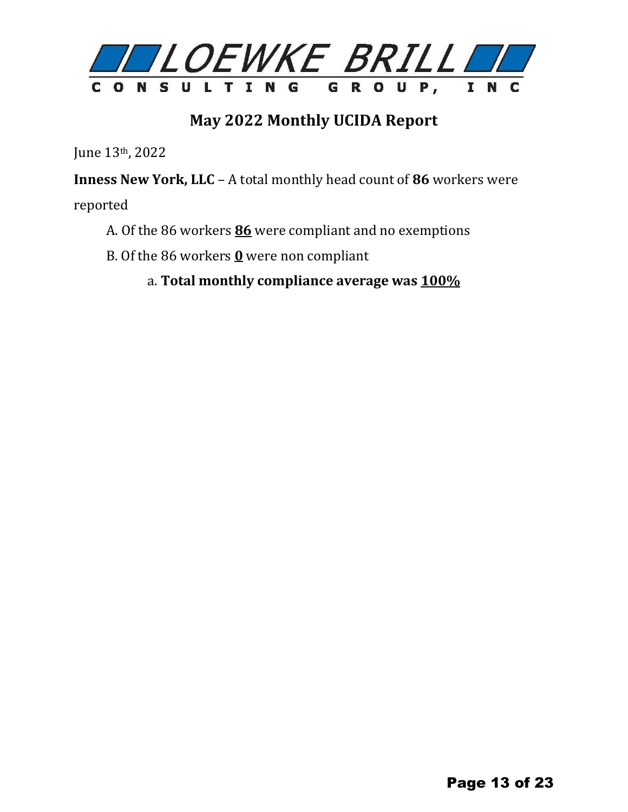

### **May 2022 Monthly UCIDA Report**

June 13th, 2022

**Inness New York, LLC** – A total monthly head count of **86** workers were

reported

- A. Of the 86 workers **86** were compliant and no exemptions
- B. Of the 86 workers **0** were non compliant
	- a. **Total monthly compliance average was 100%**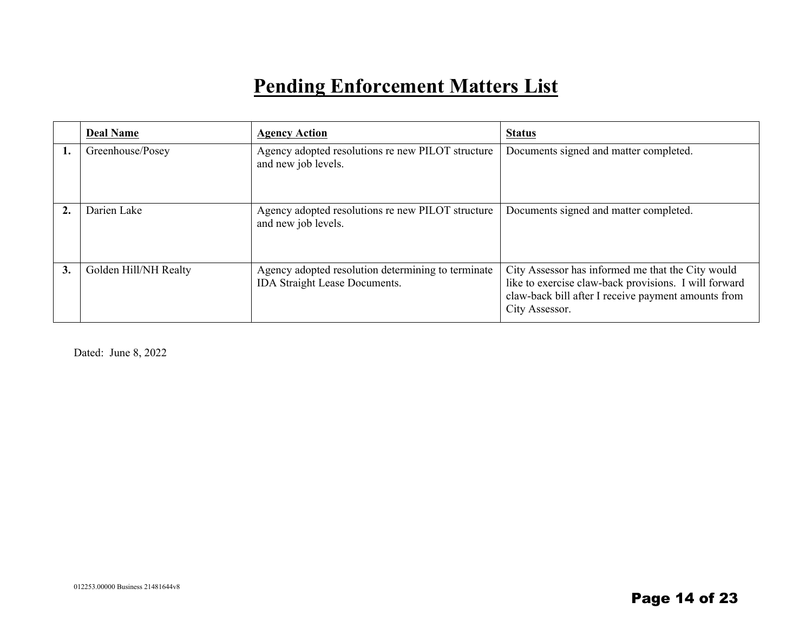## **Pending Enforcement Matters List**

|    | <b>Deal Name</b>      | <b>Agency Action</b>                                                                | <b>Status</b>                                                                                                                                                                       |
|----|-----------------------|-------------------------------------------------------------------------------------|-------------------------------------------------------------------------------------------------------------------------------------------------------------------------------------|
| 1. | Greenhouse/Posey      | Agency adopted resolutions re new PILOT structure<br>and new job levels.            | Documents signed and matter completed.                                                                                                                                              |
|    | Darien Lake           | Agency adopted resolutions re new PILOT structure<br>and new job levels.            | Documents signed and matter completed.                                                                                                                                              |
| 3. | Golden Hill/NH Realty | Agency adopted resolution determining to terminate<br>IDA Straight Lease Documents. | City Assessor has informed me that the City would<br>like to exercise claw-back provisions. I will forward<br>claw-back bill after I receive payment amounts from<br>City Assessor. |

Dated: June 8, 2022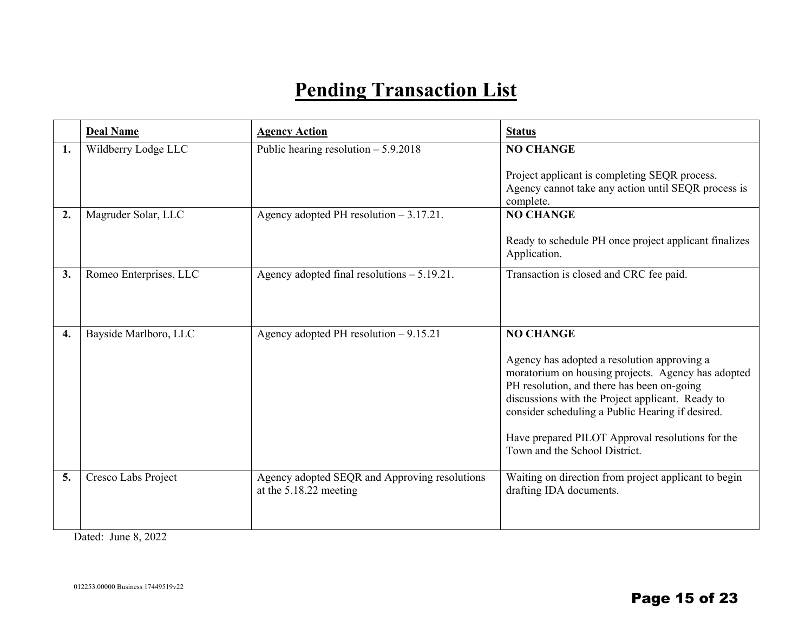## **Pending Transaction List**

|                  | <b>Deal Name</b>       | <b>Agency Action</b>                                                    | <b>Status</b>                                                                                                                                                                                                                                                                                                                                                    |
|------------------|------------------------|-------------------------------------------------------------------------|------------------------------------------------------------------------------------------------------------------------------------------------------------------------------------------------------------------------------------------------------------------------------------------------------------------------------------------------------------------|
| 1.               | Wildberry Lodge LLC    | Public hearing resolution $-5.9.2018$                                   | <b>NO CHANGE</b><br>Project applicant is completing SEQR process.<br>Agency cannot take any action until SEQR process is<br>complete.                                                                                                                                                                                                                            |
| $\overline{2}$ . | Magruder Solar, LLC    | Agency adopted PH resolution $-3.17.21$ .                               | <b>NO CHANGE</b><br>Ready to schedule PH once project applicant finalizes<br>Application.                                                                                                                                                                                                                                                                        |
| 3.               | Romeo Enterprises, LLC | Agency adopted final resolutions $-5.19.21$ .                           | Transaction is closed and CRC fee paid.                                                                                                                                                                                                                                                                                                                          |
| 4.               | Bayside Marlboro, LLC  | Agency adopted PH resolution $-9.15.21$                                 | <b>NO CHANGE</b><br>Agency has adopted a resolution approving a<br>moratorium on housing projects. Agency has adopted<br>PH resolution, and there has been on-going<br>discussions with the Project applicant. Ready to<br>consider scheduling a Public Hearing if desired.<br>Have prepared PILOT Approval resolutions for the<br>Town and the School District. |
| 5.               | Cresco Labs Project    | Agency adopted SEQR and Approving resolutions<br>at the 5.18.22 meeting | Waiting on direction from project applicant to begin<br>drafting IDA documents.                                                                                                                                                                                                                                                                                  |

Dated: June 8, 2022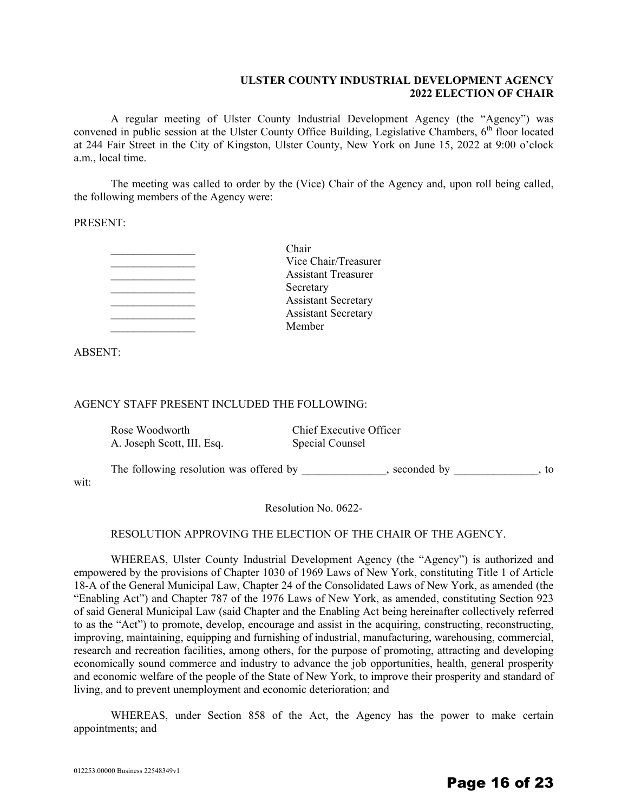#### **ULSTER COUNTY INDUSTRIAL DEVELOPMENT AGENCY 2022 ELECTION OF CHAIR**

A regular meeting of Ulster County Industrial Development Agency (the "Agency") was convened in public session at the Ulster County Office Building, Legislative Chambers, 6<sup>th</sup> floor located at 244 Fair Street in the City of Kingston, Ulster County, New York on June 15, 2022 at 9:00 o'clock a.m., local time.

The meeting was called to order by the (Vice) Chair of the Agency and, upon roll being called, the following members of the Agency were:

PRESENT:

| Chair                      |
|----------------------------|
| Vice Chair/Treasurer       |
| <b>Assistant Treasurer</b> |
| Secretary                  |
| <b>Assistant Secretary</b> |
| <b>Assistant Secretary</b> |
| Member                     |

ABSENT:

#### AGENCY STAFF PRESENT INCLUDED THE FOLLOWING:

| Rose Woodworth                          | Chief Executive Officer |
|-----------------------------------------|-------------------------|
| A. Joseph Scott, III, Esq.              | Special Counsel         |
| The following resolution was offered by | seconded by<br>to.      |

wit:

Resolution No. 0622-

#### RESOLUTION APPROVING THE ELECTION OF THE CHAIR OF THE AGENCY.

WHEREAS, Ulster County Industrial Development Agency (the "Agency") is authorized and empowered by the provisions of Chapter 1030 of 1969 Laws of New York, constituting Title 1 of Article 18-A of the General Municipal Law, Chapter 24 of the Consolidated Laws of New York, as amended (the "Enabling Act") and Chapter 787 of the 1976 Laws of New York, as amended, constituting Section 923 of said General Municipal Law (said Chapter and the Enabling Act being hereinafter collectively referred to as the "Act") to promote, develop, encourage and assist in the acquiring, constructing, reconstructing, improving, maintaining, equipping and furnishing of industrial, manufacturing, warehousing, commercial, research and recreation facilities, among others, for the purpose of promoting, attracting and developing economically sound commerce and industry to advance the job opportunities, health, general prosperity and economic welfare of the people of the State of New York, to improve their prosperity and standard of living, and to prevent unemployment and economic deterioration; and

WHEREAS, under Section 858 of the Act, the Agency has the power to make certain appointments; and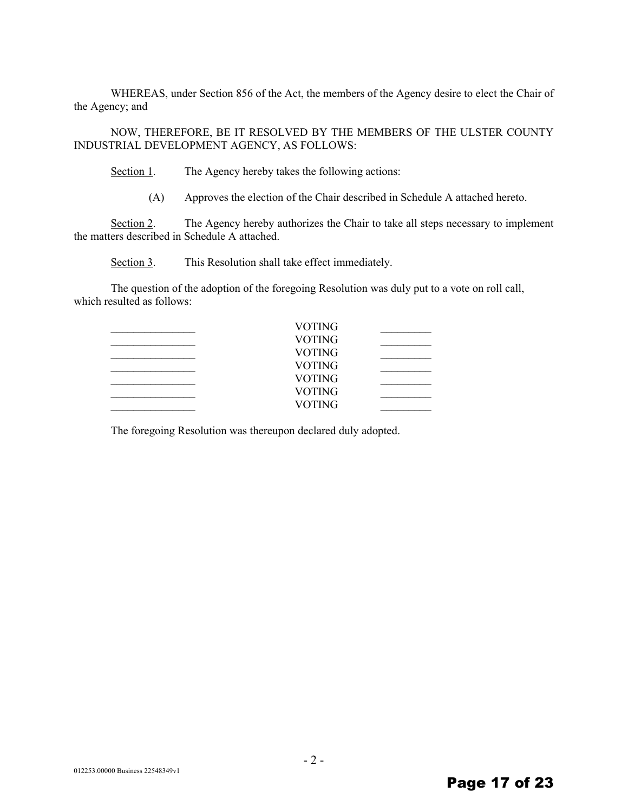WHEREAS, under Section 856 of the Act, the members of the Agency desire to elect the Chair of the Agency; and

NOW, THEREFORE, BE IT RESOLVED BY THE MEMBERS OF THE ULSTER COUNTY INDUSTRIAL DEVELOPMENT AGENCY, AS FOLLOWS:

Section 1. The Agency hereby takes the following actions:

(A) Approves the election of the Chair described in Schedule A attached hereto.

Section 2. The Agency hereby authorizes the Chair to take all steps necessary to implement the matters described in Schedule A attached.

Section 3. This Resolution shall take effect immediately.

The question of the adoption of the foregoing Resolution was duly put to a vote on roll call, which resulted as follows:

| VOTING        |  |
|---------------|--|
| <b>VOTING</b> |  |
| <b>VOTING</b> |  |
| <b>VOTING</b> |  |
| <b>VOTING</b> |  |
| <b>VOTING</b> |  |
| <b>VOTING</b> |  |

The foregoing Resolution was thereupon declared duly adopted.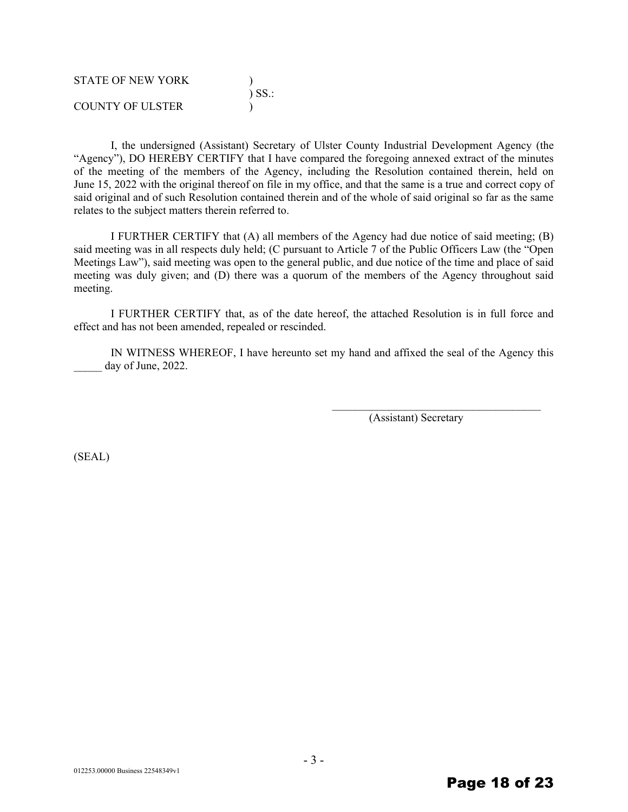| <b>STATE OF NEW YORK</b> |             |
|--------------------------|-------------|
|                          | $\sum$ SS.: |
| COUNTY OF ULSTER         |             |

I, the undersigned (Assistant) Secretary of Ulster County Industrial Development Agency (the "Agency"), DO HEREBY CERTIFY that I have compared the foregoing annexed extract of the minutes of the meeting of the members of the Agency, including the Resolution contained therein, held on June 15, 2022 with the original thereof on file in my office, and that the same is a true and correct copy of said original and of such Resolution contained therein and of the whole of said original so far as the same relates to the subject matters therein referred to.

I FURTHER CERTIFY that (A) all members of the Agency had due notice of said meeting; (B) said meeting was in all respects duly held; (C pursuant to Article 7 of the Public Officers Law (the "Open Meetings Law"), said meeting was open to the general public, and due notice of the time and place of said meeting was duly given; and (D) there was a quorum of the members of the Agency throughout said meeting.

I FURTHER CERTIFY that, as of the date hereof, the attached Resolution is in full force and effect and has not been amended, repealed or rescinded.

IN WITNESS WHEREOF, I have hereunto set my hand and affixed the seal of the Agency this day of June, 2022.

(Assistant) Secretary

 $\mathcal{L}_\text{max}$  , where  $\mathcal{L}_\text{max}$  and  $\mathcal{L}_\text{max}$  and  $\mathcal{L}_\text{max}$ 

(SEAL)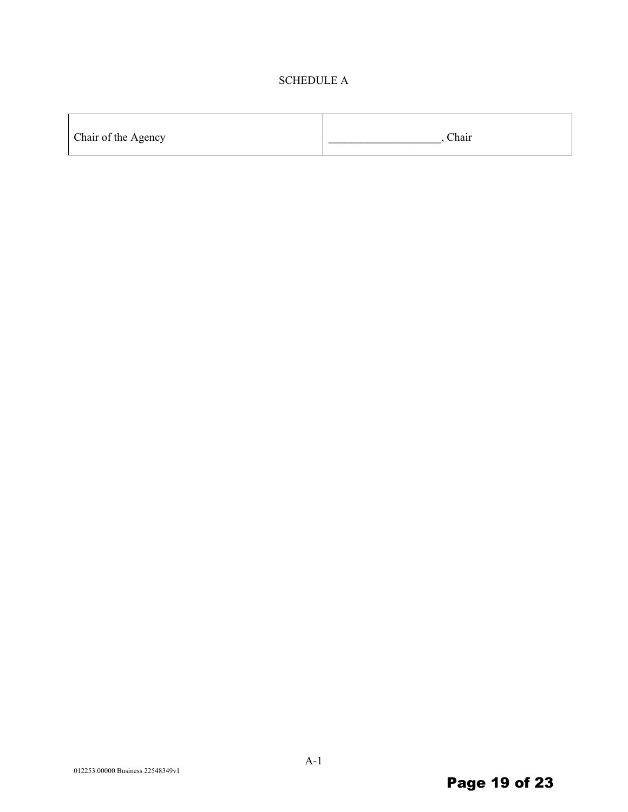#### SCHEDULE A

| Chair of the Agency | Chair |
|---------------------|-------|
|---------------------|-------|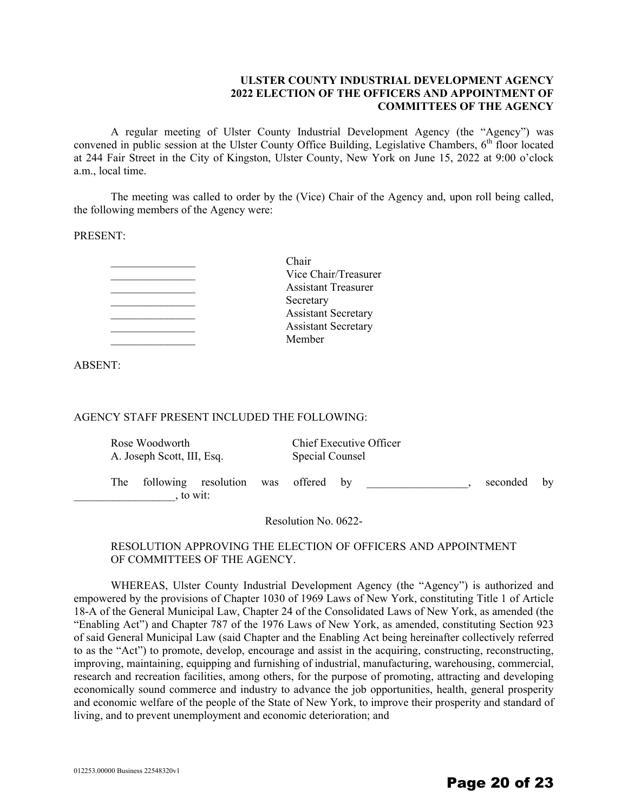#### **ULSTER COUNTY INDUSTRIAL DEVELOPMENT AGENCY 2022 ELECTION OF THE OFFICERS AND APPOINTMENT OF COMMITTEES OF THE AGENCY**

A regular meeting of Ulster County Industrial Development Agency (the "Agency") was convened in public session at the Ulster County Office Building, Legislative Chambers, 6<sup>th</sup> floor located at 244 Fair Street in the City of Kingston, Ulster County, New York on June 15, 2022 at 9:00 o'clock a.m., local time.

The meeting was called to order by the (Vice) Chair of the Agency and, upon roll being called, the following members of the Agency were:

PRESENT:

| Chair                      |
|----------------------------|
| Vice Chair/Treasurer       |
| <b>Assistant Treasurer</b> |
| Secretary                  |
| <b>Assistant Secretary</b> |
| <b>Assistant Secretary</b> |
| Member                     |
|                            |

ABSENT:

#### AGENCY STAFF PRESENT INCLUDED THE FOLLOWING:

|     | Rose Woodworth<br>A. Joseph Scott, III, Esq. |                                 | Special Counsel | Chief Executive Officer |          |    |
|-----|----------------------------------------------|---------------------------------|-----------------|-------------------------|----------|----|
| The |                                              | following resolution<br>to wit: | was offered by  |                         | seconded | by |

Resolution No. 0622-

#### RESOLUTION APPROVING THE ELECTION OF OFFICERS AND APPOINTMENT OF COMMITTEES OF THE AGENCY.

WHEREAS, Ulster County Industrial Development Agency (the "Agency") is authorized and empowered by the provisions of Chapter 1030 of 1969 Laws of New York, constituting Title 1 of Article 18-A of the General Municipal Law, Chapter 24 of the Consolidated Laws of New York, as amended (the "Enabling Act") and Chapter 787 of the 1976 Laws of New York, as amended, constituting Section 923 of said General Municipal Law (said Chapter and the Enabling Act being hereinafter collectively referred to as the "Act") to promote, develop, encourage and assist in the acquiring, constructing, reconstructing, improving, maintaining, equipping and furnishing of industrial, manufacturing, warehousing, commercial, research and recreation facilities, among others, for the purpose of promoting, attracting and developing economically sound commerce and industry to advance the job opportunities, health, general prosperity and economic welfare of the people of the State of New York, to improve their prosperity and standard of living, and to prevent unemployment and economic deterioration; and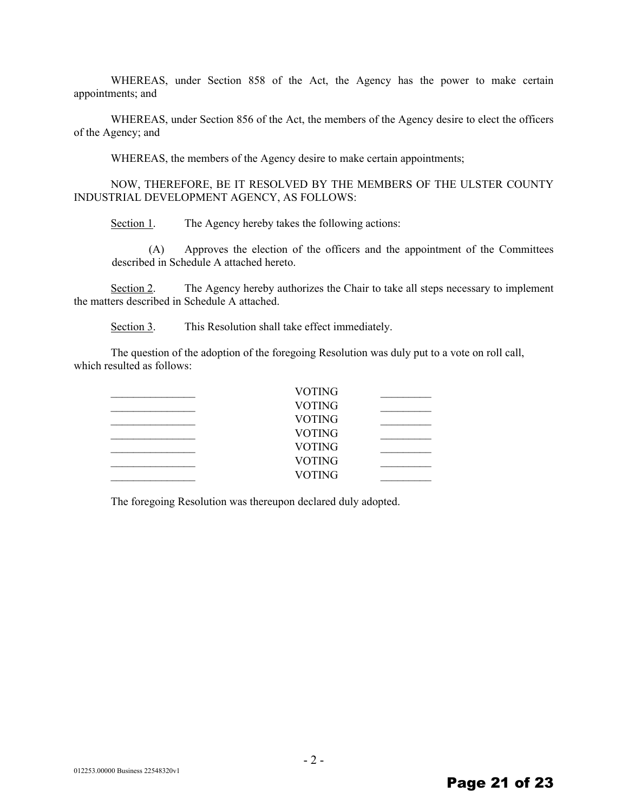WHEREAS, under Section 858 of the Act, the Agency has the power to make certain appointments; and

WHEREAS, under Section 856 of the Act, the members of the Agency desire to elect the officers of the Agency; and

WHEREAS, the members of the Agency desire to make certain appointments;

NOW, THEREFORE, BE IT RESOLVED BY THE MEMBERS OF THE ULSTER COUNTY INDUSTRIAL DEVELOPMENT AGENCY, AS FOLLOWS:

Section 1. The Agency hereby takes the following actions:

(A) Approves the election of the officers and the appointment of the Committees described in Schedule A attached hereto.

Section 2. The Agency hereby authorizes the Chair to take all steps necessary to implement the matters described in Schedule A attached.

Section 3. This Resolution shall take effect immediately.

The question of the adoption of the foregoing Resolution was duly put to a vote on roll call, which resulted as follows:

| VOTING        |  |
|---------------|--|
| <b>VOTING</b> |  |
| <b>VOTING</b> |  |
| <b>VOTING</b> |  |
| <b>VOTING</b> |  |
| <b>VOTING</b> |  |
| VOTING        |  |

The foregoing Resolution was thereupon declared duly adopted.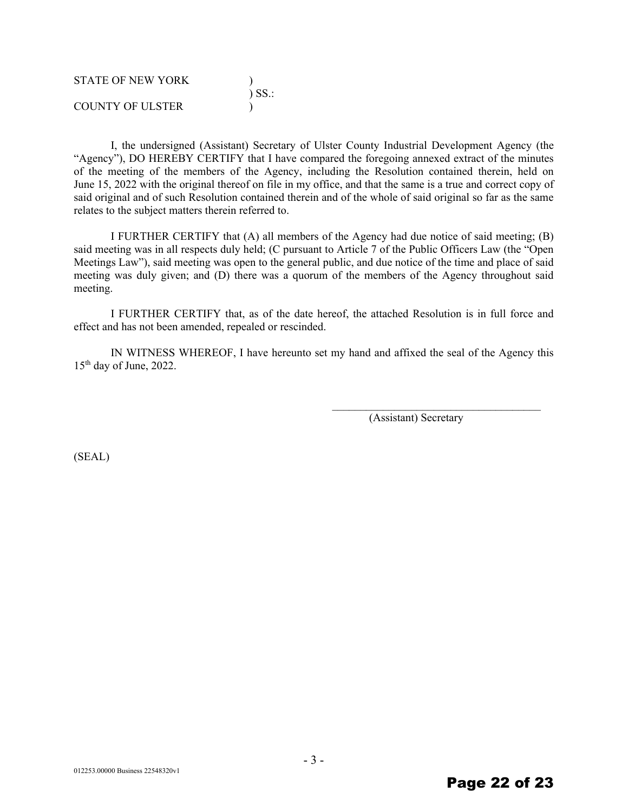| <b>STATE OF NEW YORK</b> |             |
|--------------------------|-------------|
|                          | $\sum$ SS.: |
| COUNTY OF ULSTER         |             |

I, the undersigned (Assistant) Secretary of Ulster County Industrial Development Agency (the "Agency"), DO HEREBY CERTIFY that I have compared the foregoing annexed extract of the minutes of the meeting of the members of the Agency, including the Resolution contained therein, held on June 15, 2022 with the original thereof on file in my office, and that the same is a true and correct copy of said original and of such Resolution contained therein and of the whole of said original so far as the same relates to the subject matters therein referred to.

I FURTHER CERTIFY that (A) all members of the Agency had due notice of said meeting; (B) said meeting was in all respects duly held; (C pursuant to Article 7 of the Public Officers Law (the "Open Meetings Law"), said meeting was open to the general public, and due notice of the time and place of said meeting was duly given; and (D) there was a quorum of the members of the Agency throughout said meeting.

I FURTHER CERTIFY that, as of the date hereof, the attached Resolution is in full force and effect and has not been amended, repealed or rescinded.

IN WITNESS WHEREOF, I have hereunto set my hand and affixed the seal of the Agency this  $15<sup>th</sup>$  day of June, 2022.

(Assistant) Secretary

 $\mathcal{L}_\text{max}$ 

(SEAL)